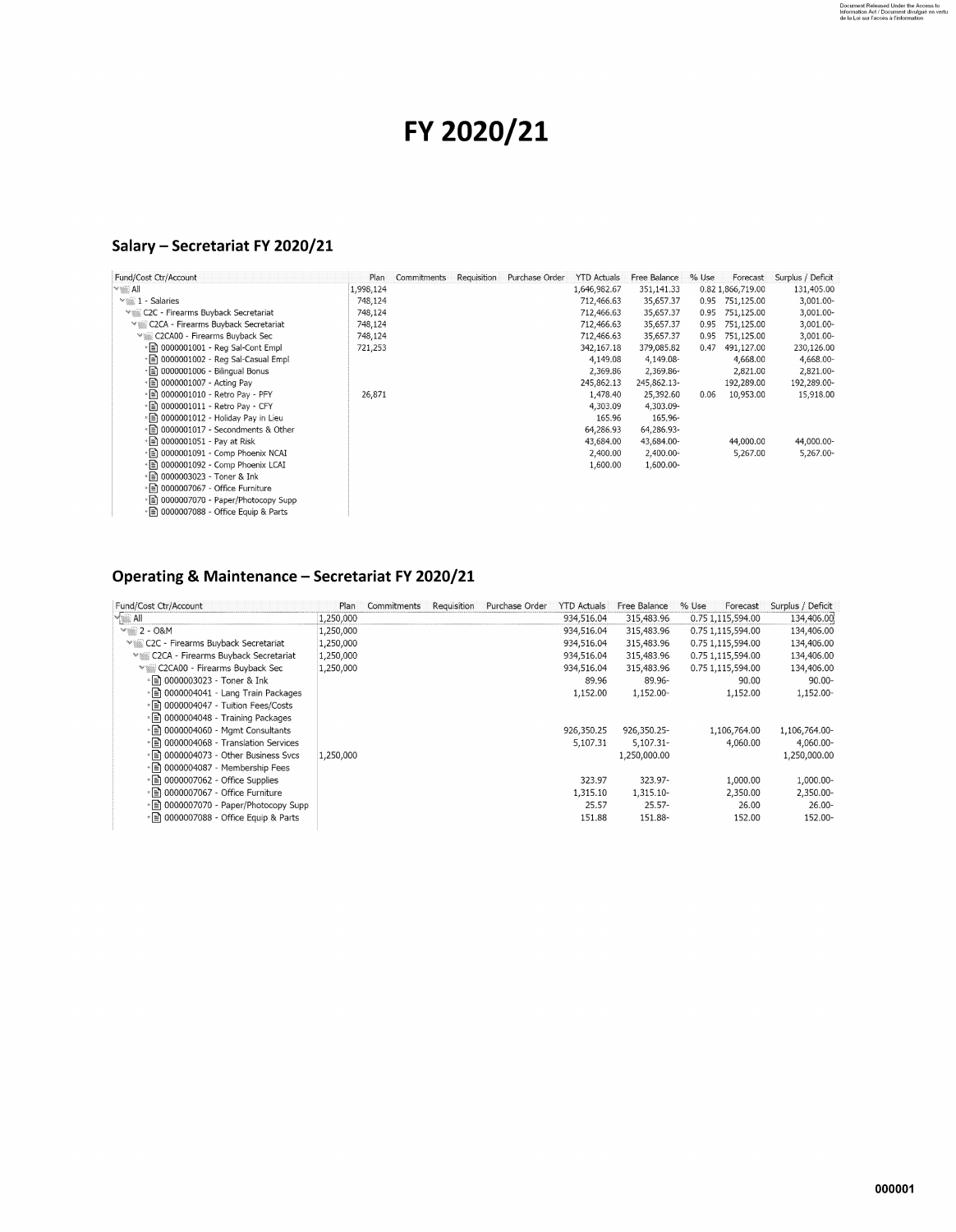## **FY 2020/21**

## **Salary - Secretariat FY 2020/21**

| Fund/Cost Ctr/Account                           | Plan      | Commitments | Requisition | Purchase Order | <b>YTD Actuals</b> | Free Balance | % Use | Forecast          | Surplus / Deficit |
|-------------------------------------------------|-----------|-------------|-------------|----------------|--------------------|--------------|-------|-------------------|-------------------|
| l×≋≧ All                                        | 1,998,124 |             |             |                | 1,646,982.67       | 351,141.33   |       | 0.82 1,866,719.00 | 131,405.00        |
| $\sim$ 1 - Salaries                             | 748,124   |             |             |                | 712,466.63         | 35,657.37    |       | 0.95 751,125.00   | 3,001.00-         |
| <sup>₩</sup> C2C - Firearms Buyback Secretariat | 748,124   |             |             |                | 712,466.63         | 35,657.37    |       | 0.95 751,125.00   | 3,001.00-         |
| ≫▒ C2CA - Firearms Buyback Secretariat          | 748,124   |             |             |                | 712,466.63         | 35,657.37    | 0.95  | 751,125.00        | 3,001.00-         |
| Villa C2CA00 - Firearms Buyback Sec             | 748,124   |             |             |                | 712,466.63         | 35,657.37    | 0.95  | 751,125.00        | 3,001.00-         |
| » a) 0000001001 - Reg Sal-Cont Empl             | 721,253   |             |             |                | 342,167.18         | 379,085.82   | 0.47  | 491,127.00        | 230,126.00        |
| • 2 0000001002 - Reg Sal-Casual Empl            |           |             |             |                | 4,149.08           | 4,149.08-    |       | 4,668.00          | 4,668.00-         |
| • a) 0000001006 - Bilingual Bonus               |           |             |             |                | 2,369.86           | 2,369.86-    |       | 2,821.00          | 2,821.00-         |
| • ■ 0000001007 - Acting Pay                     |           |             |             |                | 245,862.13         | 245,862.13-  |       | 192,289.00        | 192,289.00-       |
| * a) 0000001010 - Retro Pay - PFY               | 26,871    |             |             |                | 1,478.40           | 25,392.60    | 0.06  | 10,953.00         | 15,918.00         |
| * a) 0000001011 - Retro Pay - CFY               |           |             |             |                | 4,303.09           | 4,303.09-    |       |                   |                   |
| ∗ ≣] 0000001012 - Holiday Pay in Lieu           |           |             |             |                | 165.96             | 165.96-      |       |                   |                   |
| *■ 0000001017 - Secondments & Other             |           |             |             |                | 64,286.93          | 64,286.93-   |       |                   |                   |
| • n 0000001051 - Pav at Risk                    |           |             |             |                | 43,684.00          | 43.684.00-   |       | 44,000.00         | 44,000.00-        |
| • [mma] 0000001091 - Comp Phoenix NCAI          |           |             |             |                | 2,400.00           | 2,400.00-    |       | 5,267.00          | 5,267.00-         |
| * [ 0000001092 - Comp Phoenix LCAI              |           |             |             |                | 1,600.00           | 1,600.00-    |       |                   |                   |
| * ■ 0000003023 - Toner & Ink                    |           |             |             |                |                    |              |       |                   |                   |
| *■ 0000007067 - Office Furniture                |           |             |             |                |                    |              |       |                   |                   |
| * a) 0000007070 - Paper/Photocopy Supp          |           |             |             |                |                    |              |       |                   |                   |
| * a) 0000007088 - Office Equip & Parts          |           |             |             |                |                    |              |       |                   |                   |

## **Operating & Maintenance - Secretariat FY 2020/21**

| Fund/Cost Ctr/Account                           | Plan      | Commitments | <b>Requisition</b> | Purchase Order | <b>YTD Actuals</b> | Free Balance | % Use | Forecast          | Surplus / Deficit |
|-------------------------------------------------|-----------|-------------|--------------------|----------------|--------------------|--------------|-------|-------------------|-------------------|
| $\sqrt{\phantom{a}}$ All                        | 1,250,000 |             |                    |                | 934,516.04         | 315.483.96   |       | 0.75 1.115,594.00 | 134,406.00        |
| $\frac{1}{2}$ - O&M                             | 1,250,000 |             |                    |                | 934,516.04         | 315,483.96   |       | 0.75 1,115,594.00 | 134,406.00        |
| <sup>√</sup> C2C - Firearms Buyback Secretariat | 1,250,000 |             |                    |                | 934,516.04         | 315,483.96   |       | 0.75 1,115,594.00 | 134,406.00        |
| ™  C2CA - Firearms Buyback Secretariat          | 1,250,000 |             |                    |                | 934,516.04         | 315,483.96   |       | 0.75 1,115,594.00 | 134,406.00        |
| Ville C2CA00 - Firearms Buyback Sec             | 1,250,000 |             |                    |                | 934,516.04         | 315,483.96   |       | 0.75 1.115,594.00 | 134,406.00        |
| * ■ 0000003023 - Toner & Ink                    |           |             |                    |                | 89.96              | 89.96-       |       | 90.00             | $90.00 -$         |
| • a) 0000004041 - Lang Train Packages           |           |             |                    |                | 1,152.00           | 1,152.00-    |       | 1,152.00          | 1,152.00-         |
| • a 0000004047 - Tuition Fees/Costs             |           |             |                    |                |                    |              |       |                   |                   |
| » n 0000004048 - Training Packages              |           |             |                    |                |                    |              |       |                   |                   |
|                                                 |           |             |                    |                | 926,350.25         | 926,350.25-  |       | 1,106,764.00      | 1,106,764.00-     |
| • ■ 0000004068 - Translation Services           |           |             |                    |                | 5,107.31           | 5,107.31-    |       | 4,060.00          | 4,060.00-         |
| » n 0000004073 - Other Business Svcs            | 1,250,000 |             |                    |                |                    | 1,250,000.00 |       |                   | 1,250,000.00      |
| ∘ l≣] 0000004087 - Membership Fees              |           |             |                    |                |                    |              |       |                   |                   |
| • <u>a</u> 0000007062 - Office Supplies         |           |             |                    |                | 323.97             | 323.97-      |       | 1,000.00          | 1,000.00-         |
| » a) 0000007067 - Office Furniture              |           |             |                    |                | 1,315.10           | 1,315.10-    |       | 2,350.00          | 2,350.00-         |
| ◦   m 0000007070 - Paper/Photocopy Supp         |           |             |                    |                | 25.57              | $25.57-$     |       | 26.00             | $26.00 -$         |
| • • 0000007088 - Office Equip & Parts           |           |             |                    |                | 151.88             | 151.88-      |       | 152.00            | 152.00-           |